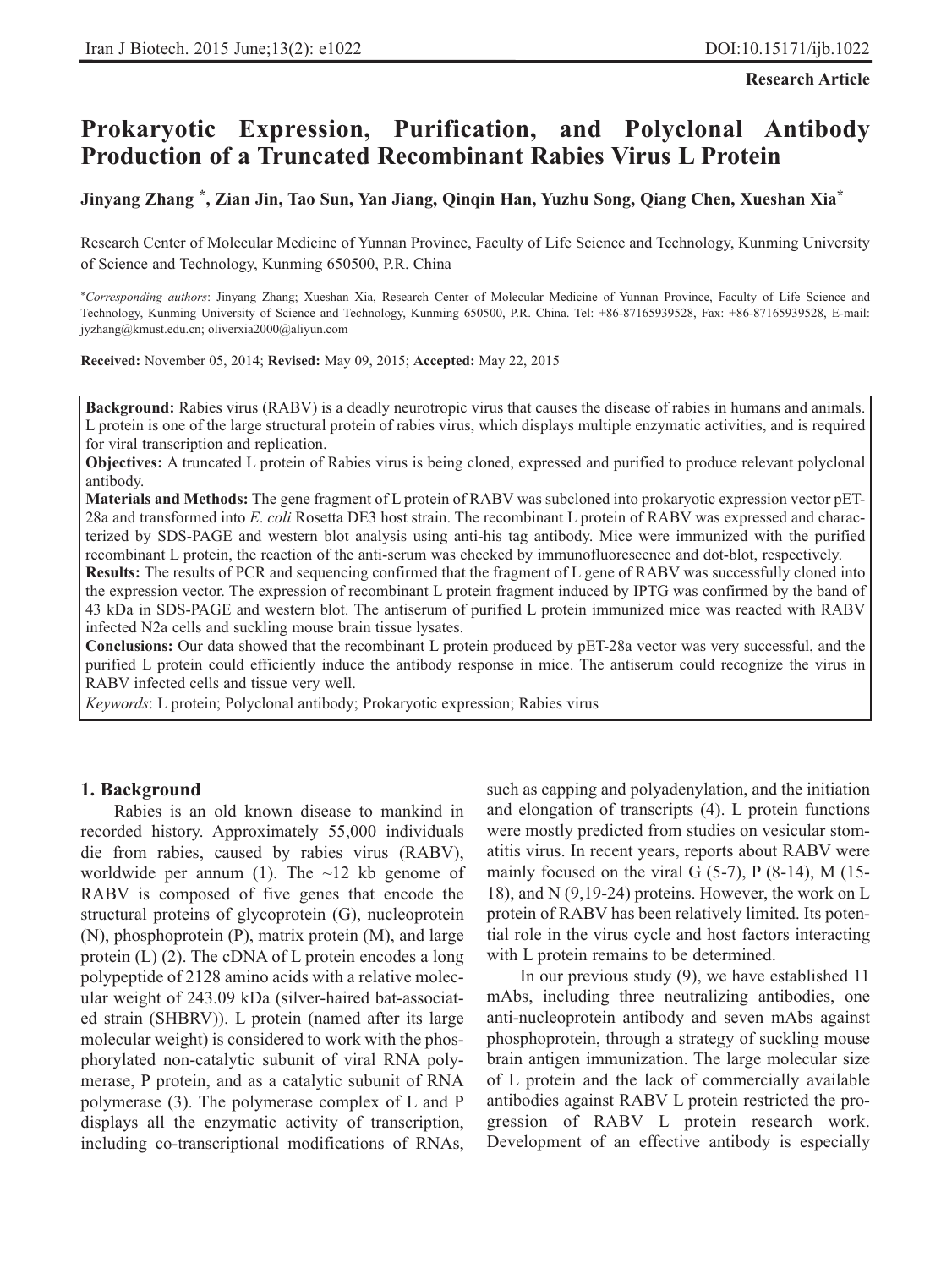**Research Article**

# **Prokaryotic Expression, Purification, and Polyclonal Antibody Production of a Truncated Recombinant Rabies Virus L Protein**

**Jinyang Zhang \*, Zian Jin, Tao Sun, Yan Jiang, Qinqin Han, Yuzhu Song, Qiang Chen, Xueshan Xia\***

Research Center of Molecular Medicine of Yunnan Province, Faculty of Life Science and Technology, Kunming University of Science and Technology, Kunming 650500, P.R. China

\**Corresponding authors*: Jinyang Zhang; Xueshan Xia, Research Center of Molecular Medicine of Yunnan Province, Faculty of Life Science and Technology, Kunming University of Science and Technology, Kunming 650500, P.R. China. Tel: +86-87165939528, Fax: +86-87165939528, E-mail: jyzhang@kmust.edu.cn; oliverxia2000@aliyun.com

**Received:** November 05, 2014; **Revised:** May 09, 2015; **Accepted:** May 22, 2015

**Background:** Rabies virus (RABV) is a deadly neurotropic virus that causes the disease of rabies in humans and animals. L protein is one of the large structural protein of rabies virus, which displays multiple enzymatic activities, and is required for viral transcription and replication.

**Objectives:** A truncated L protein of Rabies virus is being cloned, expressed and purified to produce relevant polyclonal antibody.

**Materials and Methods:** The gene fragment of L protein of RABV was subcloned into prokaryotic expression vector pET-28a and transformed into *E*. *coli* Rosetta DE3 host strain. The recombinant L protein of RABV was expressed and characterized by SDS-PAGE and western blot analysis using anti-his tag antibody. Mice were immunized with the purified recombinant L protein, the reaction of the anti-serum was checked by immunofluorescence and dot-blot, respectively.

**Results:** The results of PCR and sequencing confirmed that the fragment of L gene of RABV was successfully cloned into the expression vector. The expression of recombinant L protein fragment induced by IPTG was confirmed by the band of 43 kDa in SDS-PAGE and western blot. The antiserum of purified L protein immunized mice was reacted with RABV infected N2a cells and suckling mouse brain tissue lysates.

**Conclusions:** Our data showed that the recombinant L protein produced by pET-28a vector was very successful, and the purified L protein could efficiently induce the antibody response in mice. The antiserum could recognize the virus in RABV infected cells and tissue very well.

*Keywords*: L protein; Polyclonal antibody; Prokaryotic expression; Rabies virus

#### **1. Background**

Rabies is an old known disease to mankind in recorded history. Approximately 55,000 individuals die from rabies, caused by rabies virus (RABV), worldwide per annum (1). The  $\sim$ 12 kb genome of RABV is composed of five genes that encode the structural proteins of glycoprotein (G), nucleoprotein (N), phosphoprotein (P), matrix protein (M), and large protein (L) (2). The cDNA of L protein encodes a long polypeptide of 2128 amino acids with a relative molecular weight of 243.09 kDa (silver-haired bat-associated strain (SHBRV)). L protein (named after its large molecular weight) is considered to work with the phosphorylated non-catalytic subunit of viral RNA polymerase, P protein, and as a catalytic subunit of RNA polymerase (3). The polymerase complex of L and P displays all the enzymatic activity of transcription, including co-transcriptional modifications of RNAs,

such as capping and polyadenylation, and the initiation and elongation of transcripts (4). L protein functions were mostly predicted from studies on vesicular stomatitis virus. In recent years, reports about RABV were mainly focused on the viral G  $(5-7)$ , P  $(8-14)$ , M  $(15-$ 18), and N (9,19-24) proteins. However, the work on L protein of RABV has been relatively limited. Its potential role in the virus cycle and host factors interacting with L protein remains to be determined.

In our previous study (9), we have established 11 mAbs, including three neutralizing antibodies, one anti-nucleoprotein antibody and seven mAbs against phosphoprotein, through a strategy of suckling mouse brain antigen immunization. The large molecular size of L protein and the lack of commercially available antibodies against RABV L protein restricted the progression of RABV L protein research work. Development of an effective antibody is especially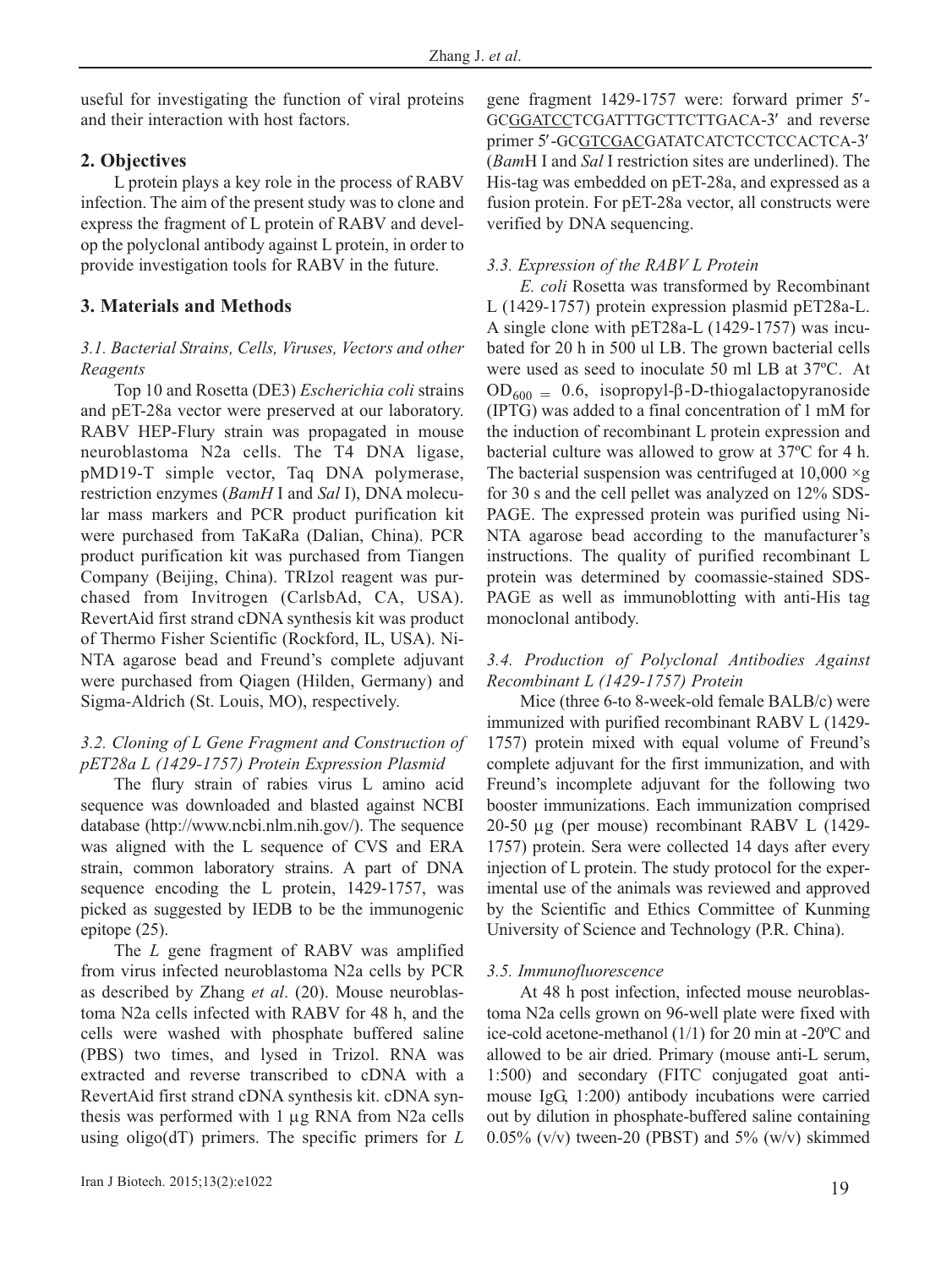useful for investigating the function of viral proteins and their interaction with host factors.

# **2. Objectives**

L protein plays a key role in the process of RABV infection. The aim of the present study was to clone and express the fragment of L protein of RABV and develop the polyclonal antibody against L protein, in order to provide investigation tools for RABV in the future.

# **3. Materials and Methods**

## *3.1. Bacterial Strains, Cells, Viruses, Vectors and other Reagents*

Top 10 and Rosetta (DE3) *Escherichia coli* strains and pET-28a vector were preserved at our laboratory. RABV HEP-Flury strain was propagated in mouse neuroblastoma N2a cells. The T4 DNA ligase, pMD19-T simple vector, Taq DNA polymerase, restriction enzymes (*BamH* I and *Sal* I), DNA molecular mass markers and PCR product purification kit were purchased from TaKaRa (Dalian, China). PCR product purification kit was purchased from Tiangen Company (Beijing, China). TRIzol reagent was purchased from Invitrogen (CarlsbAd, CA, USA). RevertAid first strand cDNA synthesis kit was product of Thermo Fisher Scientific (Rockford, IL, USA). Ni-NTA agarose bead and Freund's complete adjuvant were purchased from Qiagen (Hilden, Germany) and Sigma-Aldrich (St. Louis, MO), respectively.

# *3.2. Cloning of L Gene Fragment and Construction of pET28a L (1429-1757) Protein Expression Plasmid*

The flury strain of rabies virus L amino acid sequence was downloaded and blasted against NCBI database (http://www.ncbi.nlm.nih.gov/). The sequence was aligned with the L sequence of CVS and ERA strain, common laboratory strains. A part of DNA sequence encoding the L protein, 1429-1757, was picked as suggested by IEDB to be the immunogenic epitope (25).

The *L* gene fragment of RABV was amplified from virus infected neuroblastoma N2a cells by PCR as described by Zhang *et al*. (20). Mouse neuroblastoma N2a cells infected with RABV for 48 h, and the cells were washed with phosphate buffered saline (PBS) two times, and lysed in Trizol. RNA was extracted and reverse transcribed to cDNA with a RevertAid first strand cDNA synthesis kit. cDNA synthesis was performed with 1 μg RNA from N2a cells using oligo(dT) primers. The specific primers for *L* gene fragment 1429-1757 were: forward primer 5′- GCGGATCCTCGATTTGCTTCTTGACA-3′ and reverse primer 5′-GCGTCGACGATATCATCTCCTCCACTCA-3′ (*Bam*H I and *Sal* I restriction sites are underlined). The His-tag was embedded on pET-28a, and expressed as a fusion protein. For pET-28a vector, all constructs were verified by DNA sequencing.

## *3.3. Expression of the RABV L Protein*

*E. coli* Rosetta was transformed by Recombinant L (1429-1757) protein expression plasmid pET28a-L. A single clone with pET28a-L (1429-1757) was incubated for 20 h in 500 ul LB. The grown bacterial cells were used as seed to inoculate 50 ml LB at 37ºC. At  $OD<sub>600</sub> = 0.6$ , isopropyl-β-D-thiogalactopyranoside (IPTG) was added to a final concentration of 1 mM for the induction of recombinant L protein expression and bacterial culture was allowed to grow at 37ºC for 4 h. The bacterial suspension was centrifuged at  $10,000 \times g$ for 30 s and the cell pellet was analyzed on 12% SDS-PAGE. The expressed protein was purified using Ni-NTA agarose bead according to the manufacturer's instructions. The quality of purified recombinant L protein was determined by coomassie-stained SDS-PAGE as well as immunoblotting with anti-His tag monoclonal antibody.

## *3.4. Production of Polyclonal Antibodies Against Recombinant L (1429-1757) Protein*

Mice (three 6-to 8-week-old female BALB/c) were immunized with purified recombinant RABV L (1429- 1757) protein mixed with equal volume of Freund's complete adjuvant for the first immunization, and with Freund's incomplete adjuvant for the following two booster immunizations. Each immunization comprised 20-50 μg (per mouse) recombinant RABV L (1429- 1757) protein. Sera were collected 14 days after every injection of L protein. The study protocol for the experimental use of the animals was reviewed and approved by the Scientific and Ethics Committee of Kunming University of Science and Technology (P.R. China).

## *3.5. Immunofluorescence*

At 48 h post infection, infected mouse neuroblastoma N2a cells grown on 96-well plate were fixed with ice-cold acetone-methanol (1/1) for 20 min at -20ºC and allowed to be air dried. Primary (mouse anti-L serum, 1:500) and secondary (FITC conjugated goat antimouse IgG, 1:200) antibody incubations were carried out by dilution in phosphate-buffered saline containing  $0.05\%$  (v/v) tween-20 (PBST) and 5% (w/v) skimmed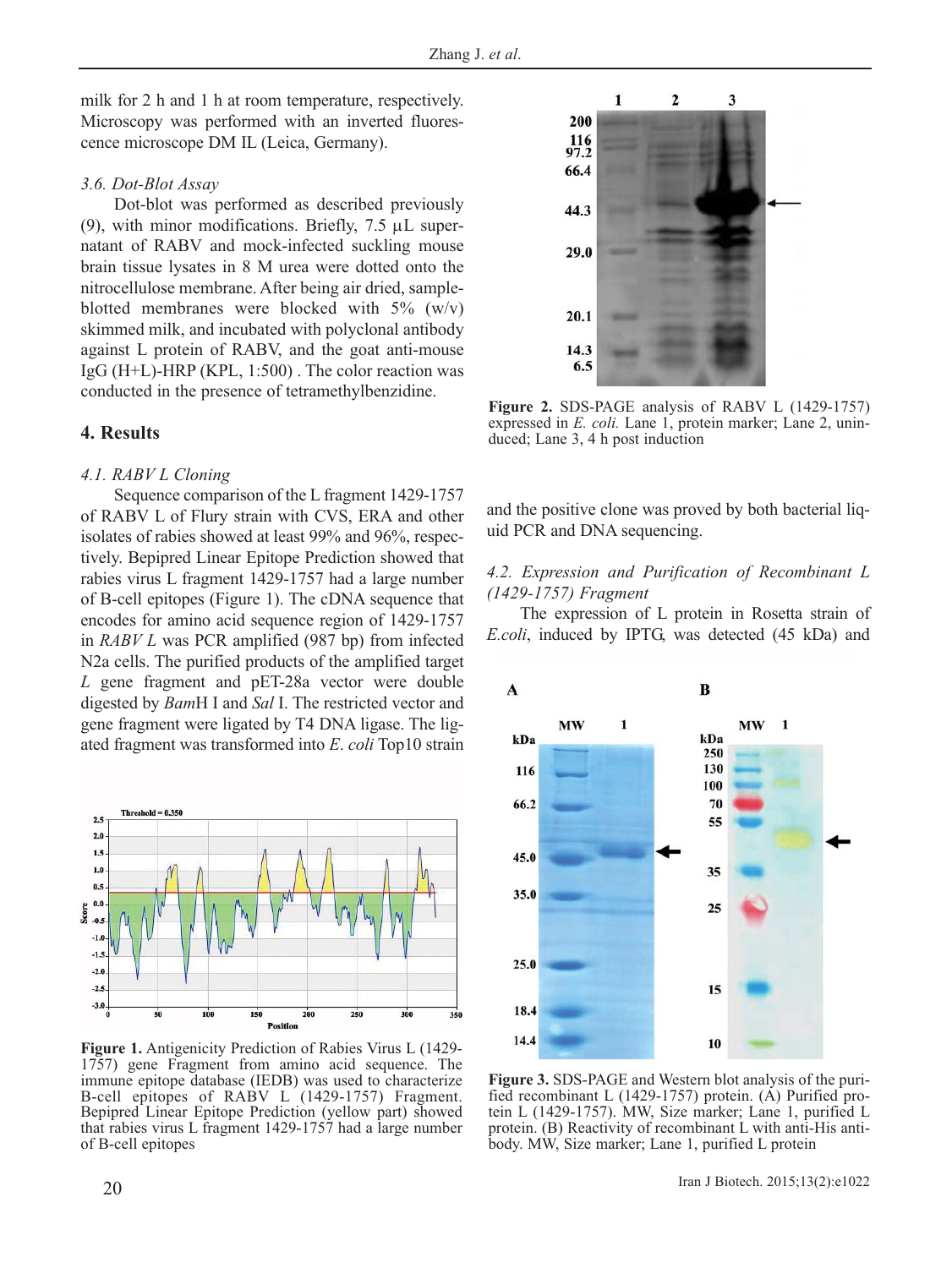milk for 2 h and 1 h at room temperature, respectively. Microscopy was performed with an inverted fluorescence microscope DM IL (Leica, Germany).

#### *3.6. Dot-Blot Assay*

Dot-blot was performed as described previously (9), with minor modifications. Briefly,  $7.5 \mu L$  supernatant of RABV and mock-infected suckling mouse brain tissue lysates in 8 M urea were dotted onto the nitrocellulose membrane. After being air dried, sampleblotted membranes were blocked with  $5\%$  (w/v) skimmed milk, and incubated with polyclonal antibody against L protein of RABV, and the goat anti-mouse IgG (H+L)-HRP (KPL, 1:500) . The color reaction was conducted in the presence of tetramethylbenzidine.

## **4. Results**

#### *4.1. RABV L Cloning*

Sequence comparison of the L fragment 1429-1757 of RABV L of Flury strain with CVS, ERA and other isolates of rabies showed at least 99% and 96%, respectively. Bepipred Linear Epitope Prediction showed that rabies virus L fragment 1429-1757 had a large number of B-cell epitopes (Figure 1). The cDNA sequence that encodes for amino acid sequence region of 1429-1757 in *RABV L* was PCR amplified (987 bp) from infected N2a cells. The purified products of the amplified target *L* gene fragment and pET-28a vector were double digested by *Bam*H I and *Sal* I. The restricted vector and gene fragment were ligated by T4 DNA ligase. The ligated fragment was transformed into *E*. *coli* Top10 strain



**Figure 1.** Antigenicity Prediction of Rabies Virus L (1429- 1757) gene Fragment from amino acid sequence. The immune epitope database (IEDB) was used to characterize B-cell epitopes of RABV L (1429-1757) Fragment. Bepipred Linear Epitope Prediction (yellow part) showed that rabies virus L fragment 1429-1757 had a large number of B-cell epitopes



**Figure 2.** SDS-PAGE analysis of RABV L (1429-1757) expressed in *E. coli.* Lane 1, protein marker; Lane 2, uninduced; Lane 3, 4 h post induction

and the positive clone was proved by both bacterial liquid PCR and DNA sequencing.

#### *4.2. Expression and Purification of Recombinant L (1429-1757) Fragment*

The expression of L protein in Rosetta strain of *E.coli*, induced by IPTG, was detected (45 kDa) and



**Figure 3.** SDS-PAGE and Western blot analysis of the purified recombinant L (1429-1757) protein. (A) Purified protein L (1429-1757). MW, Size marker; Lane 1, purified L protein. (B) Reactivity of recombinant L with anti-His antibody. MW, Size marker; Lane 1, purified L protein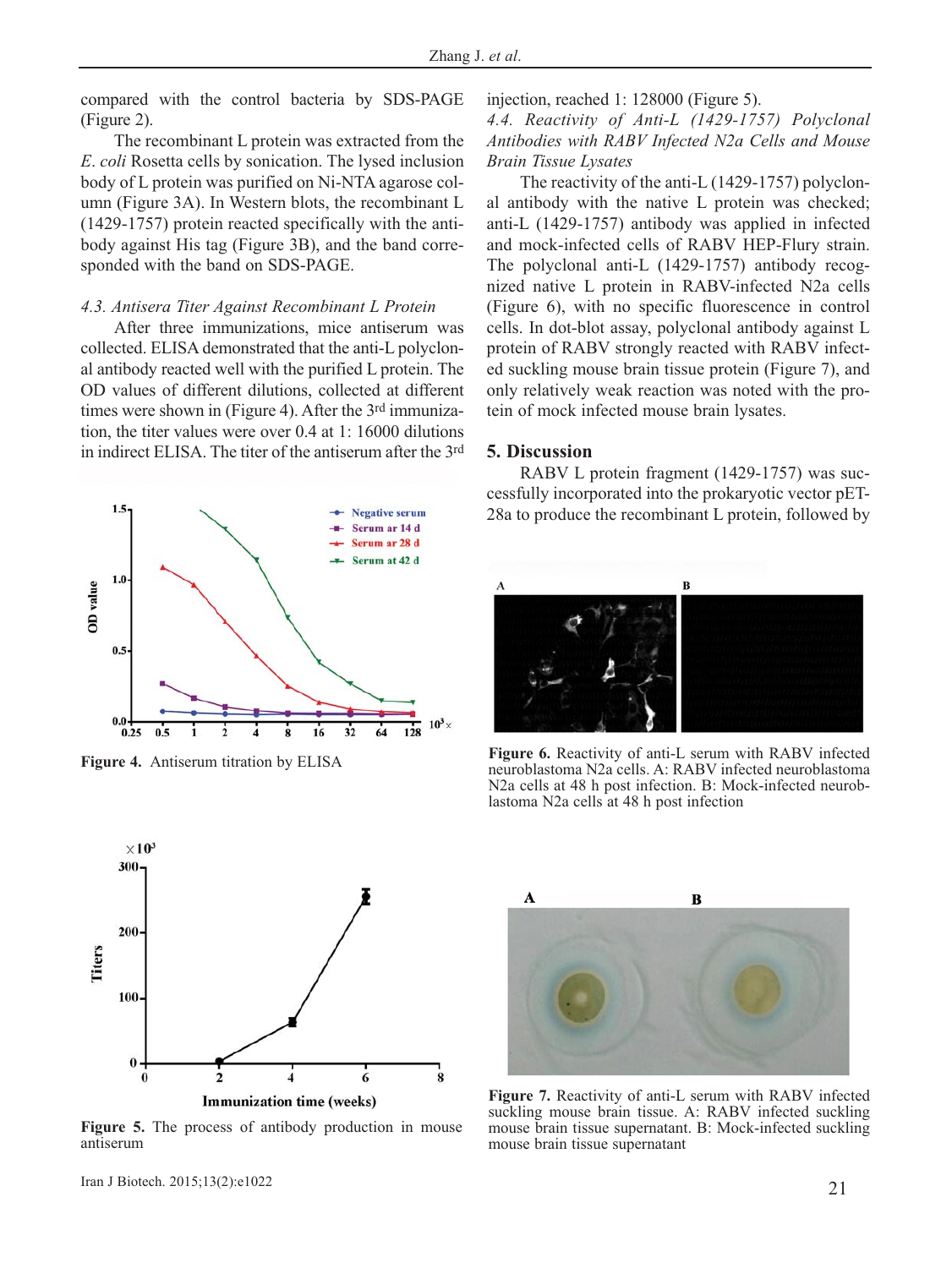compared with the control bacteria by SDS-PAGE (Figure 2).

The recombinant L protein was extracted from the *E*. *coli* Rosetta cells by sonication. The lysed inclusion body of L protein was purified on Ni-NTA agarose column (Figure 3A). In Western blots, the recombinant L (1429-1757) protein reacted specifically with the antibody against His tag (Figure 3B), and the band corresponded with the band on SDS-PAGE.

#### *4.3. Antisera Titer Against Recombinant L Protein*

After three immunizations, mice antiserum was collected. ELISA demonstrated that the anti-L polyclonal antibody reacted well with the purified L protein. The OD values of different dilutions, collected at different times were shown in (Figure 4). After the 3rd immunization, the titer values were over 0.4 at 1: 16000 dilutions in indirect ELISA. The titer of the antiserum after the 3rd



**Figure 4.** Antiserum titration by ELISA

injection, reached 1: 128000 (Figure 5).

*4.4. Reactivity of Anti-L (1429-1757) Polyclonal Antibodies with RABV Infected N2a Cells and Mouse Brain Tissue Lysates*

The reactivity of the anti-L (1429-1757) polyclonal antibody with the native L protein was checked; anti-L (1429-1757) antibody was applied in infected and mock-infected cells of RABV HEP-Flury strain. The polyclonal anti-L (1429-1757) antibody recognized native L protein in RABV-infected N2a cells (Figure 6), with no specific fluorescence in control cells. In dot-blot assay, polyclonal antibody against L protein of RABV strongly reacted with RABV infected suckling mouse brain tissue protein (Figure 7), and only relatively weak reaction was noted with the protein of mock infected mouse brain lysates.

#### **5. Discussion**

RABV L protein fragment (1429-1757) was successfully incorporated into the prokaryotic vector pET-28a to produce the recombinant L protein, followed by



**Figure 6.** Reactivity of anti-L serum with RABV infected neuroblastoma N2a cells. A: RABV infected neuroblastoma N2a cells at 48 h post infection. B: Mock-infected neuroblastoma N2a cells at 48 h post infection



**Figure 5.** The process of antibody production in mouse antiserum



**Figure 7.** Reactivity of anti-L serum with RABV infected suckling mouse brain tissue. A: RABV infected suckling mouse brain tissue supernatant. B: Mock-infected suckling mouse brain tissue supernatant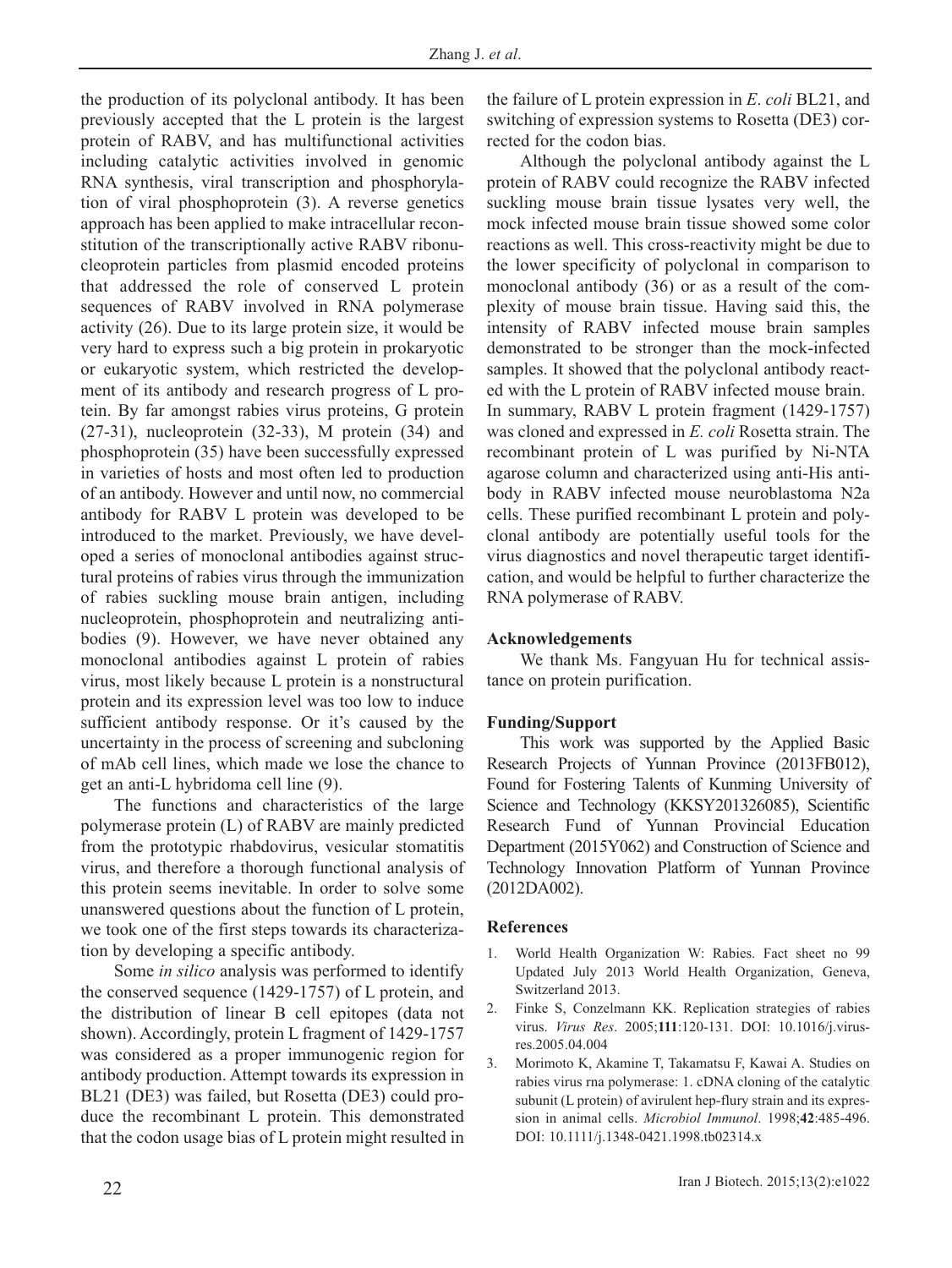the production of its polyclonal antibody. It has been previously accepted that the L protein is the largest protein of RABV, and has multifunctional activities including catalytic activities involved in genomic RNA synthesis, viral transcription and phosphorylation of viral phosphoprotein (3). A reverse genetics approach has been applied to make intracellular reconstitution of the transcriptionally active RABV ribonucleoprotein particles from plasmid encoded proteins that addressed the role of conserved L protein sequences of RABV involved in RNA polymerase activity (26). Due to its large protein size, it would be very hard to express such a big protein in prokaryotic or eukaryotic system, which restricted the development of its antibody and research progress of L protein. By far amongst rabies virus proteins, G protein (27-31), nucleoprotein (32-33), M protein (34) and phosphoprotein (35) have been successfully expressed in varieties of hosts and most often led to production of an antibody. However and until now, no commercial antibody for RABV L protein was developed to be introduced to the market. Previously, we have developed a series of monoclonal antibodies against structural proteins of rabies virus through the immunization of rabies suckling mouse brain antigen, including nucleoprotein, phosphoprotein and neutralizing antibodies (9). However, we have never obtained any monoclonal antibodies against L protein of rabies virus, most likely because L protein is a nonstructural protein and its expression level was too low to induce sufficient antibody response. Or it's caused by the uncertainty in the process of screening and subcloning of mAb cell lines, which made we lose the chance to get an anti-L hybridoma cell line (9).

The functions and characteristics of the large polymerase protein (L) of RABV are mainly predicted from the prototypic rhabdovirus, vesicular stomatitis virus, and therefore a thorough functional analysis of this protein seems inevitable. In order to solve some unanswered questions about the function of L protein, we took one of the first steps towards its characterization by developing a specific antibody.

Some *in silico* analysis was performed to identify the conserved sequence (1429-1757) of L protein, and the distribution of linear B cell epitopes (data not shown). Accordingly, protein L fragment of 1429-1757 was considered as a proper immunogenic region for antibody production. Attempt towards its expression in BL21 (DE3) was failed, but Rosetta (DE3) could produce the recombinant L protein. This demonstrated that the codon usage bias of L protein might resulted in the failure of L protein expression in *E*. *coli* BL21, and switching of expression systems to Rosetta (DE3) corrected for the codon bias.

Although the polyclonal antibody against the L protein of RABV could recognize the RABV infected suckling mouse brain tissue lysates very well, the mock infected mouse brain tissue showed some color reactions as well. This cross-reactivity might be due to the lower specificity of polyclonal in comparison to monoclonal antibody (36) or as a result of the complexity of mouse brain tissue. Having said this, the intensity of RABV infected mouse brain samples demonstrated to be stronger than the mock-infected samples. It showed that the polyclonal antibody reacted with the L protein of RABV infected mouse brain. In summary, RABV L protein fragment (1429-1757) was cloned and expressed in *E. coli* Rosetta strain. The recombinant protein of L was purified by Ni-NTA agarose column and characterized using anti-His antibody in RABV infected mouse neuroblastoma N2a cells. These purified recombinant L protein and polyclonal antibody are potentially useful tools for the virus diagnostics and novel therapeutic target identification, and would be helpful to further characterize the RNA polymerase of RABV.

## **Acknowledgements**

We thank Ms. Fangyuan Hu for technical assistance on protein purification.

## **Funding/Support**

This work was supported by the Applied Basic Research Projects of Yunnan Province (2013FB012), Found for Fostering Talents of Kunming University of Science and Technology (KKSY201326085), Scientific Research Fund of Yunnan Provincial Education Department (2015Y062) and Construction of Science and Technology Innovation Platform of Yunnan Province (2012DA002).

#### **References**

- 1. World Health Organization W: Rabies. Fact sheet no 99 Updated July 2013 World Health Organization, Geneva, Switzerland 2013.
- 2. Finke S, Conzelmann KK. Replication strategies of rabies virus. *Virus Res*. 2005;**111**:120-131. DOI: 10.1016/j.virusres.2005.04.004
- 3. Morimoto K, Akamine T, Takamatsu F, Kawai A. Studies on rabies virus rna polymerase: 1. cDNA cloning of the catalytic subunit (L protein) of avirulent hep-flury strain and its expression in animal cells. *Microbiol Immunol*. 1998;**42**:485-496. DOI: 10.1111/j.1348-0421.1998.tb02314.x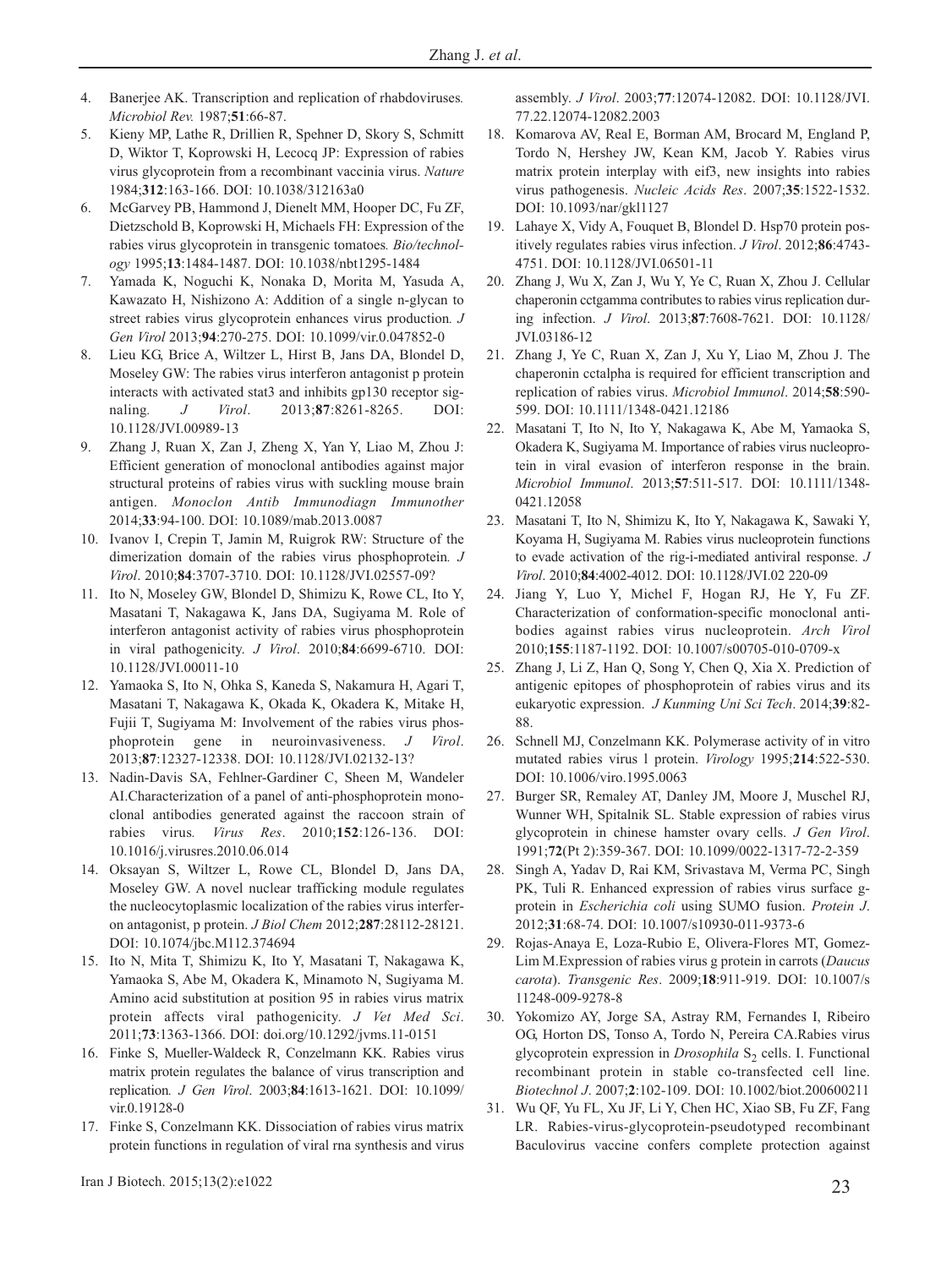- 4. Banerjee AK. Transcription and replication of rhabdoviruses*. Microbiol Rev.* 1987;**51**:66-87.
- 5. Kieny MP, Lathe R, Drillien R, Spehner D, Skory S, Schmitt D, Wiktor T, Koprowski H, Lecocq JP: Expression of rabies virus glycoprotein from a recombinant vaccinia virus. *Nature* 1984;**312**:163-166. DOI: 10.1038/312163a0
- 6. McGarvey PB, Hammond J, Dienelt MM, Hooper DC, Fu ZF, Dietzschold B, Koprowski H, Michaels FH: Expression of the rabies virus glycoprotein in transgenic tomatoes*. Bio/technology* 1995;**13**:1484-1487. DOI: 10.1038/nbt1295-1484
- 7. Yamada K, Noguchi K, Nonaka D, Morita M, Yasuda A, Kawazato H, Nishizono A: Addition of a single n-glycan to street rabies virus glycoprotein enhances virus production*. J Gen Virol* 2013;**94**:270-275. DOI: 10.1099/vir.0.047852-0
- 8. Lieu KG, Brice A, Wiltzer L, Hirst B, Jans DA, Blondel D, Moseley GW: The rabies virus interferon antagonist p protein interacts with activated stat3 and inhibits gp130 receptor signaling*. J Virol*. 2013;**87**:8261-8265. DOI: 10.1128/JVI.00989-13
- 9. Zhang J, Ruan X, Zan J, Zheng X, Yan Y, Liao M, Zhou J: Efficient generation of monoclonal antibodies against major structural proteins of rabies virus with suckling mouse brain antigen. *Monoclon Antib Immunodiagn Immunother* 2014;**33**:94-100. DOI: 10.1089/mab.2013.0087
- 10. Ivanov I, Crepin T, Jamin M, Ruigrok RW: Structure of the dimerization domain of the rabies virus phosphoprotein*. J Virol*. 2010;**84**:3707-3710. DOI: 10.1128/JVI.02557-09?
- 11. Ito N, Moseley GW, Blondel D, Shimizu K, Rowe CL, Ito Y, Masatani T, Nakagawa K, Jans DA, Sugiyama M. Role of interferon antagonist activity of rabies virus phosphoprotein in viral pathogenicity. *J Virol*. 2010;**84**:6699-6710. DOI: 10.1128/JVI.00011-10
- 12. Yamaoka S, Ito N, Ohka S, Kaneda S, Nakamura H, Agari T, Masatani T, Nakagawa K, Okada K, Okadera K, Mitake H, Fujii T, Sugiyama M: Involvement of the rabies virus phosphoprotein gene in neuroinvasiveness. *J Virol*. 2013;**87**:12327-12338. DOI: 10.1128/JVI.02132-13?
- 13. Nadin-Davis SA, Fehlner-Gardiner C, Sheen M, Wandeler AI.Characterization of a panel of anti-phosphoprotein monoclonal antibodies generated against the raccoon strain of rabies virus*. Virus Res*. 2010;**152**:126-136. DOI: 10.1016/j.virusres.2010.06.014
- 14. Oksayan S, Wiltzer L, Rowe CL, Blondel D, Jans DA, Moseley GW. A novel nuclear trafficking module regulates the nucleocytoplasmic localization of the rabies virus interferon antagonist, p protein. *J Biol Chem* 2012;**287**:28112-28121. DOI: 10.1074/jbc.M112.374694
- 15. Ito N, Mita T, Shimizu K, Ito Y, Masatani T, Nakagawa K, Yamaoka S, Abe M, Okadera K, Minamoto N, Sugiyama M. Amino acid substitution at position 95 in rabies virus matrix protein affects viral pathogenicity. *J Vet Med Sci*. 2011;**73**:1363-1366. DOI: doi.org/10.1292/jvms.11-0151
- 16. Finke S, Mueller-Waldeck R, Conzelmann KK. Rabies virus matrix protein regulates the balance of virus transcription and replication*. J Gen Virol*. 2003;**84**:1613-1621. DOI: 10.1099/ vir.0.19128-0
- 17. Finke S, Conzelmann KK. Dissociation of rabies virus matrix protein functions in regulation of viral rna synthesis and virus

23 Iran J Biotech. 2015;13(2):e1022

assembly. *J Virol*. 2003;**77**:12074-12082. DOI: 10.1128/JVI. 77.22.12074-12082.2003

- 18. Komarova AV, Real E, Borman AM, Brocard M, England P, Tordo N, Hershey JW, Kean KM, Jacob Y. Rabies virus matrix protein interplay with eif3, new insights into rabies virus pathogenesis. *Nucleic Acids Res*. 2007;**35**:1522-1532. DOI: 10.1093/nar/gkl1127
- 19. Lahaye X, Vidy A, Fouquet B, Blondel D. Hsp70 protein positively regulates rabies virus infection. *J Virol*. 2012;**86**:4743- 4751. DOI: 10.1128/JVI.06501-11
- 20. Zhang J, Wu X, Zan J, Wu Y, Ye C, Ruan X, Zhou J. Cellular chaperonin cctgamma contributes to rabies virus replication during infection. *J Virol*. 2013;**87**:7608-7621. DOI: 10.1128/ JVI.03186-12
- 21. Zhang J, Ye C, Ruan X, Zan J, Xu Y, Liao M, Zhou J. The chaperonin cctalpha is required for efficient transcription and replication of rabies virus. *Microbiol Immunol*. 2014;**58**:590- 599. DOI: 10.1111/1348-0421.12186
- 22. Masatani T, Ito N, Ito Y, Nakagawa K, Abe M, Yamaoka S, Okadera K, Sugiyama M. Importance of rabies virus nucleoprotein in viral evasion of interferon response in the brain. *Microbiol Immunol*. 2013;**57**:511-517. DOI: 10.1111/1348- 0421.12058
- 23. Masatani T, Ito N, Shimizu K, Ito Y, Nakagawa K, Sawaki Y, Koyama H, Sugiyama M. Rabies virus nucleoprotein functions to evade activation of the rig-i-mediated antiviral response. *J Virol*. 2010;**84**:4002-4012. DOI: 10.1128/JVI.02 220-09
- 24. Jiang Y, Luo Y, Michel F, Hogan RJ, He Y, Fu ZF. Characterization of conformation-specific monoclonal antibodies against rabies virus nucleoprotein. *Arch Virol* 2010;**155**:1187-1192. DOI: 10.1007/s00705-010-0709-x
- 25. Zhang J, Li Z, Han Q, Song Y, Chen Q, Xia X. Prediction of antigenic epitopes of phosphoprotein of rabies virus and its eukaryotic expression. *J Kunming Uni Sci Tech*. 2014;**39**:82- 88.
- 26. Schnell MJ, Conzelmann KK. Polymerase activity of in vitro mutated rabies virus l protein. *Virology* 1995;**214**:522-530. DOI: 10.1006/viro.1995.0063
- 27. Burger SR, Remaley AT, Danley JM, Moore J, Muschel RJ, Wunner WH, Spitalnik SL. Stable expression of rabies virus glycoprotein in chinese hamster ovary cells. *J Gen Virol*. 1991;**72**(Pt 2):359-367. DOI: 10.1099/0022-1317-72-2-359
- 28. Singh A, Yadav D, Rai KM, Srivastava M, Verma PC, Singh PK, Tuli R. Enhanced expression of rabies virus surface gprotein in *Escherichia coli* using SUMO fusion. *Protein J*. 2012;**31**:68-74. DOI: 10.1007/s10930-011-9373-6
- 29. Rojas-Anaya E, Loza-Rubio E, Olivera-Flores MT, Gomez-Lim M.Expression of rabies virus g protein in carrots (*Daucus carota*). *Transgenic Res*. 2009;**18**:911-919. DOI: 10.1007/s 11248-009-9278-8
- 30. Yokomizo AY, Jorge SA, Astray RM, Fernandes I, Ribeiro OG, Horton DS, Tonso A, Tordo N, Pereira CA.Rabies virus glycoprotein expression in *Drosophila* S<sub>2</sub> cells. I. Functional recombinant protein in stable co-transfected cell line. *Biotechnol J*. 2007;**2**:102-109. DOI: 10.1002/biot.200600211
- 31. Wu QF, Yu FL, Xu JF, Li Y, Chen HC, Xiao SB, Fu ZF, Fang LR. Rabies-virus-glycoprotein-pseudotyped recombinant Baculovirus vaccine confers complete protection against